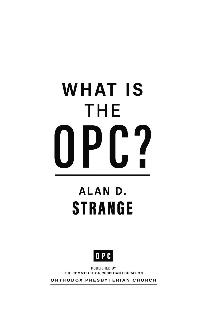# **WHAT IS** THE  $0Pf2$

### **ALAND. STRANGE**



PUBLISHED BY THE COMMITTEE ON CHRISTIAN EDUCATION

ORTHODOX PRESBYTERIAN CHURCH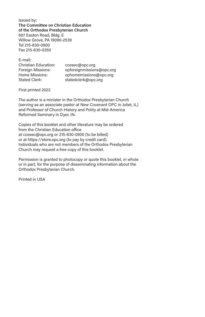Issued by: **The Committee on Christian Education of the Orthodox Presbyterian Church** 607 Easton Road, Bldg. E Willow Grove, PA 19090-2539 Tel 215-830-0900 Fax 215-830-0350

E-mail:

| <b>Christian Education:</b> | ccesec@opc.org            |
|-----------------------------|---------------------------|
| <b>Foreign Missions:</b>    | opforeignmissions@opc.org |
| Home Missions:              | ophomemissions@opc.org    |
| <b>Stated Clerk:</b>        | statedclerk@opc.org       |

First printed 2022

The author is a minister in the Orthodox Presbyterian Church (serving as an associate pastor at New Covenant OPC in Joliet, IL) and Professor of Church History and Polity at Mid-America Reformed Seminary in Dyer, IN.

Copies of this booklet and other literature may be ordered from the Christian Education office at ccesec@opc.org or 215-830-0900 (to be billed) or at https://store.opc.org (to pay by credit card). Individuals who are not members of the Orthodox Presbyterian Church may request a free copy of this booklet.

Permission is granted to photocopy or quote this booklet, in whole or in part, for the purpose of disseminating information about the Orthodox Presbyterian Church.

Printed in USA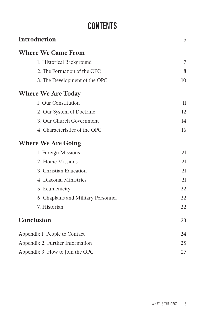#### **CONTENTS**

| <b>Introduction</b>                 | 5  |
|-------------------------------------|----|
| <b>Where We Came From</b>           |    |
| 1. Historical Background            | 7  |
| 2. The Formation of the OPC         | 8  |
| 3. The Development of the OPC       | 10 |
| <b>Where We Are Today</b>           |    |
| 1. Our Constitution                 | 11 |
| 2. Our System of Doctrine           | 12 |
| 3. Our Church Government            | 14 |
| 4. Characteristics of the OPC       | 16 |
| <b>Where We Are Going</b>           |    |
| 1. Foreign Missions                 | 21 |
| 2. Home Missions                    | 21 |
| 3. Christian Education              | 21 |
| 4. Diaconal Ministries              | 21 |
| 5. Ecumenicity                      | 22 |
| 6. Chaplains and Military Personnel | 22 |
| 7. Historian                        | 22 |
| Conclusion                          | 23 |
| Appendix 1: People to Contact       | 24 |
| Appendix 2: Further Information     | 25 |
| Appendix 3: How to Join the OPC     | 27 |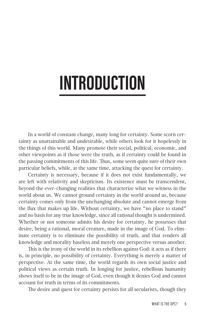### **INTRODUCTION**

In a world of constant change, many long for certainty. Some scorn certainty as unattainable and undesirable, while others look for it hopelessly in the things of this world. Many promote their social, political, economic, and other viewpoints as if those were the truth, as if certainty could be found in the passing commitments of this life. Thus, some seem quite sure of their own particular beliefs, while, at the same time, attacking the quest for certainty.

Certainty is necessary, because if it does not exist fundamentally, we are left with relativity and skepticism. Its existence must be transcendent, beyond the ever-changing realities that characterize what we witness in the world about us. We cannot ground certainty in the world around us, because certainty comes only from the unchanging absolute and cannot emerge from the flux that makes up life. Without certainty, we have "no place to stand" and no basis for any true knowledge, since all rational thought is undermined. Whether or not someone admits his desire for certainty, he possesses that desire, being a rational, moral creature, made in the image of God. To eliminate certainty is to eliminate the possibility of truth, and that renders all knowledge and morality baseless and merely one perspective versus another.

This is the irony of the world in its rebellion against God: it acts as if there is, in principle, no possibility of certainty. Everything is merely a matter of perspective. At the same time, the world regards its own social justice and political views as certain truth. In longing for justice, rebellious humanity shows itself to be in the image of God, even though it denies God and cannot account for truth in terms of its commitments.

The desire and quest for certainty persists for all secularists, though they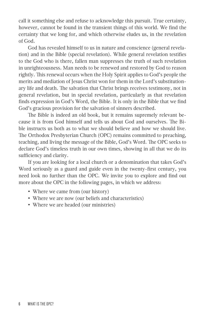call it something else and refuse to acknowledge this pursuit. True certainty, however, cannot be found in the transient things of this world. We find the certainty that we long for, and which otherwise eludes us, in the revelation of God.

God has revealed himself to us in nature and conscience (general revelation) and in the Bible (special revelation). While general revelation testifies to the God who is there, fallen man suppresses the truth of such revelation in unrighteousness. Man needs to be renewed and restored by God to reason rightly. This renewal occurs when the Holy Spirit applies to God's people the merits and mediation of Jesus Christ won for them in the Lord's substitutionary life and death. The salvation that Christ brings receives testimony, not in general revelation, but in special revelation, particularly as that revelation finds expression in God's Word, the Bible. It is only in the Bible that we find God's gracious provision for the salvation of sinners described.

The Bible is indeed an old book, but it remains supremely relevant because it is from God himself and tells us about God and ourselves. The Bible instructs us both as to what we should believe and how we should live. The Orthodox Presbyterian Church (OPC) remains committed to preaching, teaching, and living the message of the Bible, God's Word. The OPC seeks to declare God's timeless truth in our own times, showing in all that we do its sufficiency and clarity.

If you are looking for a local church or a denomination that takes God's Word seriously as a guard and guide even in the twenty-first century, you need look no further than the OPC. We invite you to explore and find out more about the OPC in the following pages, in which we address:

- Where we came from (our history)
- Where we are now (our beliefs and characteristics)
- Where we are headed (our ministries)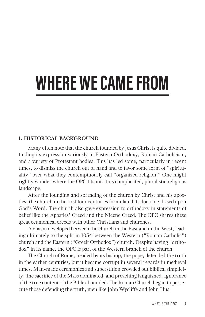## **WHERE WE CAME FROM**

#### **1. HISTORICAL BACKGROUND**

Many often note that the church founded by Jesus Christ is quite divided, finding its expression variously in Eastern Orthodoxy, Roman Catholicism, and a variety of Protestant bodies. This has led some, particularly in recent times, to dismiss the church out of hand and to favor some form of "spirituality" over what they contemptuously call "organized religion." One might rightly wonder where the OPC fits into this complicated, pluralistic religious landscape.

After the founding and spreading of the church by Christ and his apostles, the church in the first four centuries formulated its doctrine, based upon God's Word. The church also gave expression to orthodoxy in statements of belief like the Apostles' Creed and the Nicene Creed. The OPC shares these great ecumenical creeds with other Christians and churches.

A chasm developed between the church in the East and in the West, leading ultimately to the split in 1054 between the Western ("Roman Catholic") church and the Eastern ("Greek Orthodox") church. Despite having "orthodox" in its name, the OPC is part of the Western branch of the church.

The Church of Rome, headed by its bishop, the pope, defended the truth in the earlier centuries, but it became corrupt in several regards in medieval times. Man-made ceremonies and superstition crowded out biblical simplicity. The sacrifice of the Mass dominated, and preaching languished. Ignorance of the true content of the Bible abounded. The Roman Church began to persecute those defending the truth, men like John Wycliffe and John Hus.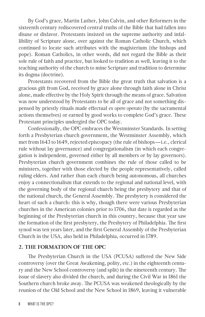By God's grace, Martin Luther, John Calvin, and other Reformers in the sixteenth century rediscovered central truths of the Bible that had fallen into disuse or disfavor. Protestants insisted on the supreme authority and infallibility of Scripture alone, over against the Roman Catholic Church, which continued to locate such attributes with the magisterium (the bishops and pope). Roman Catholics, in other words, did not regard the Bible as their sole rule of faith and practice, but looked to tradition as well, leaving it to the teaching authority of the church to mine Scripture and tradition to determine its dogma (doctrine).

Protestants recovered from the Bible the great truth that salvation is a gracious gift from God, received by grace alone through faith alone in Christ alone, made effective by the Holy Spirit through the means of grace. Salvation was now understood by Protestants to be all of grace and not something dispensed by priestly rituals made effectual *ex opere operato* (by the sacramental actions themselves) or earned by good works to complete God's grace. These Protestant principles undergird the OPC today.

Confessionally, the OPC embraces the Westminster Standards. In setting forth a Presbyterian church government, the Westminster Assembly, which met from 1643 to 1649, rejected episcopacy (the rule of bishops—i.e., clerical rule without lay governance) and congregationalism (in which each congregation is independent, governed either by all members or by lay governors). Presbyterian church government combines the rule of those called to be ministers, together with those elected by the people representatively, called ruling elders. And rather than each church being autonomous, all churches enjoy a connectionalism that extends to the regional and national level, with the governing body of the regional church being the presbytery and that of the national church, the General Assembly. The presbytery is considered the heart of such a church: this is why, though there were various Presbyterian churches in the American colonies prior to 1706, that date is regarded as the beginning of the Presbyterian church in this country, because that year saw the formation of the first presbytery, the Presbytery of Philadelphia. The first synod was ten years later, and the first General Assembly of the Presbyterian Church in the USA, also held in Philadelphia, occurred in 1789.

#### **2. THE FORMATION OF THE OPC**

The Presbyterian Church in the USA (PCUSA) suffered the New Side controversy (over the Great Awakening, polity, etc.) in the eighteenth century and the New School controversy (and split) in the nineteenth century. The issue of slavery also divided the church, and during the Civil War in 1861 the Southern church broke away. The PCUSA was weakened theologically by the reunion of the Old School and the New School in 1869, leaving it vulnerable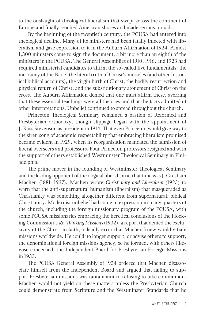to the onslaught of theological liberalism that swept across the continent of Europe and finally reached American shores and made serious inroads.

By the beginning of the twentieth century, the PCUSA had entered into theological decline. Many of its ministers had been fatally infected with liberalism and gave expression to it in the Auburn Affirmation of 1924. Almost 1,300 ministers came to sign the document, a bit more than an eighth of the ministers in the PCUSA. The General Assemblies of 1910, 1916, and 1923 had required ministerial candidates to affirm the so-called five fundamentals: the inerrancy of the Bible, the literal truth of Christ's miracles (and other historical biblical accounts), the virgin birth of Christ, the bodily resurrection and physical return of Christ, and the substitutionary atonement of Christ on the cross. The Auburn Affirmation denied that one must affirm these, averring that these essential teachings were all theories and that the facts admitted of other interpretations. Unbelief continued to spread throughout the church.

Princeton Theological Seminary remained a bastion of Reformed and Presbyterian orthodoxy, though slippage began with the appointment of J. Ross Stevenson as president in 1914. That even Princeton would give way to the siren song of academic respectability that embracing liberalism promised became evident in 1929, when its reorganization mandated the admission of liberal overseers and professors. Four Princeton professors resigned and with the support of others established Westminster Theological Seminary in Philadelphia.

The prime mover in the founding of Westminster Theological Seminary and the leading opponent of theological liberalism at that time was J. Gresham Machen (1881–1937). Machen wrote *Christianity and Liberalism* (1923) to warn that the anti-supernatural humanism (liberalism) that masqueraded as Christianity was something altogether different from supernatural, biblical Christianity. Modernist unbelief had come to expression in many quarters of the church, including the foreign missionary program of the PCUSA, with some PCUSA missionaries embracing the heretical conclusions of the Hocking Commission's *Re-Thinking Missions* (1932), a report that denied the exclusivity of the Christian faith, a deadly error that Machen knew would vitiate missions worldwide. He could no longer support, or advise others to support, the denominational foreign missions agency, so he formed, with others likewise concerned, the Independent Board for Presbyterian Foreign Missions in 1933.

The PCUSA General Assembly of 1934 ordered that Machen disassociate himself from the Independent Board and argued that failing to support Presbyterian missions was tantamount to refusing to take communion. Machen would not yield on these matters unless the Presbyterian Church could demonstrate from Scripture and the Westminster Standards that he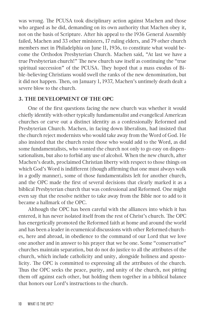was wrong. The PCUSA took disciplinary action against Machen and those who argued as he did, demanding on its own authority that Machen obey it, not on the basis of Scripture. After his appeal to the 1936 General Assembly failed, Machen and 33 other ministers, 17 ruling elders, and 79 other church members met in Philadelphia on June 11, 1936, to constitute what would become the Orthodox Presbyterian Church. Machen said, "At last we have a true Presbyterian church!" The new church saw itself as continuing the "true spiritual succession" of the PCUSA. They hoped that a mass exodus of Bible-believing Christians would swell the ranks of the new denomination, but it did not happen. Then, on January 1, 1937, Machen's untimely death dealt a severe blow to the church.

#### **3. THE DEVELOPMENT OF THE OPC**

One of the first questions facing the new church was whether it would chiefly identify with other typically fundamentalist and evangelical American churches or carve out a distinct identity as a confessionally Reformed and Presbyterian Church. Machen, in facing down liberalism, had insisted that the church reject modernists who would take away from the Word of God. He also insisted that the church resist those who would add to the Word, as did some fundamentalists, who wanted the church not only to go easy on dispensationalism, but also to forbid any use of alcohol. When the new church, after Machen's death, proclaimed Christian liberty with respect to those things on which God's Word is indifferent (though affirming that one must always walk in a godly manner), some of those fundamentalists left for another church, and the OPC made the first of several decisions that clearly marked it as a biblical Presbyterian church that was confessional and Reformed. One might even say that the resolve neither to take away from the Bible nor to add to it became a hallmark of the OPC.

Although the OPC has been careful with the alliances into which it has entered, it has never isolated itself from the rest of Christ's church. The OPC has energetically promoted the Reformed faith at home and around the world and has been a leader in ecumenical discussions with other Reformed churches, here and abroad, in obedience to the command of our Lord that we love one another and in answer to his prayer that we be one. Some "conservative" churches maintain separation, but do not do justice to all the attributes of the church, which include catholicity and unity, alongside holiness and apostolicity. The OPC is committed to expressing all the attributes of the church. Thus the OPC seeks the peace, purity, and unity of the church, not pitting them off against each other, but holding them together in a biblical balance that honors our Lord's instructions to the church.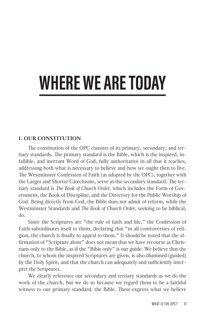## **WHERE WE ARE TODAY**

#### **1. OUR CONSTITUTION**

The constitution of the OPC consists of its primary, secondary, and tertiary standards. The primary standard is the Bible, which is the inspired, infallible, and inerrant Word of God, fully authoritative in all that it teaches, addressing both what is necessary to believe and how we ought then to live. The Westminster Confession of Faith (as adopted by the OPC), together with the Larger and Shorter Catechisms, serve as the secondary standard. The tertiary standard is *The Book of Church Order*, which includes the Form of Government, the Book of Discipline, and the Directory for the Public Worship of God. Being directly from God, the Bible does not admit of reform, while the Westminster Standards and *The Book of Church Order*, seeking to be biblical, do.

Since the Scriptures are "the rule of faith and life," the Confession of Faith subordinates itself to them, declaring that "in all controversies of religion, the church is finally to appeal to them." It should be noted that the affirmation of "Scripture alone" does not mean that we have recourse as Christians only to the Bible, as if the "Bible only" is our guide. We believe that the church, to whom the inspired Scriptures are given, is also illumined (guided) by the Holy Spirit, and that the church can adequately and sufficiently interpret the Scriptures.

We clearly reference our secondary and tertiary standards as we do the work of the church, but we do so because we regard them to be a faithful witness to our primary standard, the Bible. These express what we believe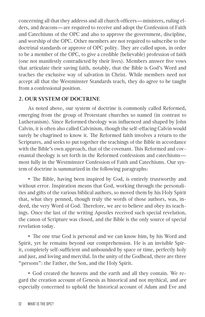concerning all that they address and all church officers—ministers, ruling elders, and deacons—are required to receive and adopt the Confession of Faith and Catechisms of the OPC and also to approve the government, discipline, and worship of the OPC. Other members are not required to subscribe to the doctrinal standards or approve of OPC polity. They are called upon, in order to be a member of the OPC, to give a credible (believable) profession of faith (one not manifestly contradicted by their lives). Members answer five vows that articulate their saving faith, notably, that the Bible is God's Word and teaches the exclusive way of salvation in Christ. While members need not accept all that the Westminster Standards teach, they do agree to be taught from a confessional position.

#### **2. OUR SYSTEM OF DOCTRINE**

As noted above, our system of doctrine is commonly called Reformed, emerging from the group of Protestant churches so named (in contrast to Lutheranism). Since Reformed theology was influenced and shaped by John Calvin, it is often also called Calvinism, though the self-effacing Calvin would surely be chagrined to know it. The Reformed faith involves a return to the Scriptures, and seeks to put together the teachings of the Bible in accordance with the Bible's own approach, that of the covenant. This Reformed and covenantal theology is set forth in the Reformed confessions and catechisms most fully in the Westminster Confession of Faith and Catechisms. Our system of doctrine is summarized in the following paragraphs:

• The Bible, having been inspired by God, is entirely trustworthy and without error. Inspiration means that God, working through the personalities and gifts of the various biblical authors, so moved them by his Holy Spirit that, what they penned, though truly the words of those authors, was, indeed, the very Word of God. Therefore, we are to believe and obey its teachings. Once the last of the writing Apostles received such special revelation, the canon of Scripture was closed, and the Bible is the only source of special revelation today.

• The one true God is personal and we can know him, by his Word and Spirit, yet he remains beyond our comprehension. He is an invisible Spirit, completely self-sufficient and unbounded by space or time, perfectly holy and just, and loving and merciful. In the unity of the Godhead, there are three "persons": the Father, the Son, and the Holy Spirit.

• God created the heavens and the earth and all they contain. We regard the creation account of Genesis as historical and not mythical, and are especially concerned to uphold the historical account of Adam and Eve and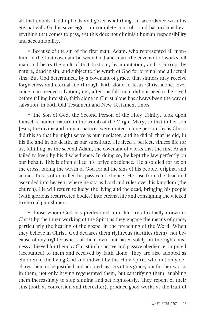all that entails. God upholds and governs all things in accordance with his eternal will. God is sovereign—in complete control—and has ordained everything that comes to pass; yet this does not diminish human responsibility and accountability.

• Because of the sin of the first man, Adam, who represented all mankind in the first covenant between God and man, the covenant of works, all mankind bears the guilt of that first sin, by imputation, and is corrupt by nature, dead in sin, and subject to the wrath of God for original and all actual sins. But God determined, by a covenant of grace, that sinners may receive forgiveness and eternal life through faith alone in Jesus Christ alone. Ever since man needed salvation, i.e., after the fall (man did not need to be saved before falling into sin), faith alone in Christ alone has always been the way of salvation, in both Old Testament and New Testament times.

• The Son of God, the Second Person of the Holy Trinity, took upon himself a human nature in the womb of the Virgin Mary, so that in her son Jesus, the divine and human natures were united in one person. Jesus Christ did this so that he might serve as our mediator, and he did all that he did, in his life and in his death, as our substitute. He lived a perfect, sinless life for us, fulfilling, as the second Adam, the covenant of works that the first Adam failed to keep by his disobedience. In doing so, he kept the law perfectly on our behalf. This is often called his active obedience. He also died for us on the cross, taking the wrath of God for all the sins of his people, original and actual. This is often called his passive obedience. He rose from the dead and ascended into heaven, where he sits as Lord and rules over his kingdom (the church). He will return to judge the living and the dead, bringing his people (with glorious resurrected bodies) into eternal life and consigning the wicked to eternal punishment.

• Those whom God has predestined unto life are effectually drawn to Christ by the inner working of the Spirit as they engage the means of grace, particularly the hearing of the gospel in the preaching of the Word. When they believe in Christ, God declares them righteous (justifies them), not because of any righteousness of their own, but based solely on the righteousness achieved for them by Christ in his active and passive obedience, imputed (accounted) to them and received by faith alone. They are also adopted as children of the living God and indwelt by the Holy Spirit, who not only declares them to be justified and adopted, as acts of his grace, but further works in them, not only having regenerated them, but sanctifying them, enabling them increasingly to stop sinning and act righteously. They repent of their sins (both at conversion and thereafter), produce good works as the fruit of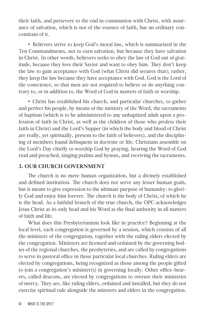their faith, and persevere to the end in communion with Christ, with assurance of salvation, which is not of the essence of faith, but an ordinary concomitant of it.

• Believers strive to keep God's moral law, which is summarized in the Ten Commandments, not to earn salvation, but because they have salvation in Christ. In other words, believers seeks to obey the law of God out of gratitude, because they love their Savior and want to obey him. They don't keep the law to gain acceptance with God (what Christ did secures that); rather, they keep the law because they have acceptance with God. God is the Lord of the conscience, so that men are not required to believe or do anything contrary to, or in addition to, the Word of God in matters of faith or worship.

• Christ has established his church, and particular churches, to gather and perfect his people, by means of the ministry of the Word, the sacraments of baptism (which is to be administered to any unbaptized adult upon a profession of faith in Christ, as well as the children of those who profess their faith in Christ) and the Lord's Supper (in which the body and blood of Christ are really, yet spiritually, present to the faith of believers), and the disciplining of members found delinquent in doctrine or life. Christians assemble on the Lord's Day chiefly to worship God by praying, hearing the Word of God read and preached, singing psalms and hymns, and receiving the sacraments.

#### **3. OUR CHURCH GOVERNMENT**

The church is no mere human organization, but a divinely established and defined institution. The church does not serve any lesser human goals, but is meant to give expression to the ultimate purpose of humanity: to glorify God and enjoy him forever. The church is the body of Christ, of which he is the head. As a faithful branch of the true church, the OPC acknowledges Jesus Christ as its only head and his Word as the final authority in all matters of faith and life.

What does this Presbyterianism look like in practice? Beginning at the local level, each congregation is governed by a session, which consists of all the ministers of the congregation, together with the ruling elders elected by the congregation. Ministers are licensed and ordained by the governing bodies of the regional churches, the presbyteries, and are called by congregations to serve in pastoral office in those particular local churches. Ruling elders are elected by congregations, being recognized as those among the people gifted to join a congregation's minister(s) in governing locally. Other office-bearers, called deacons, are elected by congregations to oversee their ministries of mercy. They are, like ruling elders, ordained and installed, but they do not exercise spiritual rule alongside the minsters and elders in the congregation.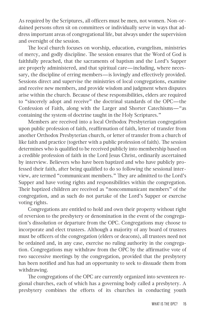As required by the Scriptures, all officers must be men, not women. Non-ordained persons often sit on committees or individually serve in ways that address important areas of congregational life, but always under the supervision and oversight of the session.

The local church focuses on worship, education, evangelism, ministries of mercy, and godly discipline. The session ensures that the Word of God is faithfully preached, that the sacraments of baptism and the Lord's Supper are properly administered, and that spiritual care—including, where necessary, the discipline of erring members—is lovingly and effectively provided. Sessions direct and supervise the ministries of local congregations, examine and receive new members, and provide wisdom and judgment when disputes arise within the church. Because of these responsibilities, elders are required to "sincerely adopt and receive" the doctrinal standards of the OPC—the Confession of Faith, along with the Larger and Shorter Catechisms—"as containing the system of doctrine taught in the Holy Scriptures."

Members are received into a local Orthodox Presbyterian congregation upon public profession of faith, reaffirmation of faith, letter of transfer from another Orthodox Presbyterian church, or letter of transfer from a church of like faith and practice (together with a public profession of faith). The session determines who is qualified to be received publicly into membership based on a credible profession of faith in the Lord Jesus Christ, ordinarily ascertained by interview. Believers who have been baptized and who have publicly professed their faith, after being qualified to do so following the sessional interview, are termed "communicant members." They are admitted to the Lord's Supper and have voting rights and responsibilities within the congregation. Their baptized children are received as "noncommunicant members" of the congregation, and as such do not partake of the Lord's Supper or exercise voting rights.

Congregations are entitled to hold and own their property without right of reversion to the presbytery or denomination in the event of the congregation's dissolution or departure from the OPC. Congregations may choose to incorporate and elect trustees. Although a majority of any board of trustees must be officers of the congregation (elders or deacons), all trustees need not be ordained and, in any case, exercise no ruling authority in the congregation. Congregations may withdraw from the OPC by the affirmative vote of two successive meetings by the congregation, provided that the presbytery has been notified and has had an opportunity to seek to dissuade them from withdrawing.

The congregations of the OPC are currently organized into seventeen regional churches, each of which has a governing body called a presbytery. A presbytery combines the efforts of its churches in conducting youth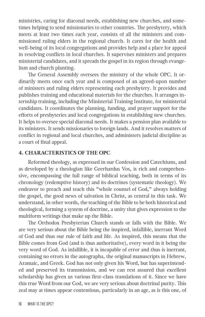ministries, caring for diaconal needs, establishing new churches, and sometimes helping to send missionaries to other countries. The presbytery, which meets at least two times each year, consists of all the ministers and commissioned ruling elders in the regional church. It cares for the health and well-being of its local congregations and provides help and a place for appeal in resolving conflicts in local churches. It supervises ministers and prepares ministerial candidates, and it spreads the gospel in its region through evangelism and church planting.

The General Assembly oversees the ministry of the whole OPC. It ordinarily meets once each year and is composed of an agreed-upon number of ministers and ruling elders representing each presbytery. It provides and publishes training and educational materials for the churches. It arranges internship training, including the Ministerial Training Institute, for ministerial candidates. It coordinates the planning, funding, and prayer support for the efforts of presbyteries and local congregations in establishing new churches. It helps to oversee special diaconal needs. It makes a pension plan available to its ministers. It sends missionaries to foreign lands. And it resolves matters of conflict in regional and local churches, and administers judicial discipline as a court of final appeal.

#### **4. CHARACTERISTICS OF THE OPC**

Reformed theology, as expressed in our Confession and Catechisms, and as developed by a theologian like Geerhardus Vos, is rich and comprehensive, encompassing the full range of biblical teaching, both in terms of its chronology (redemptive history) and its doctrines (systematic theology). We endeavor to preach and teach this "whole counsel of God," always holding the gospel, the good news of salvation in Christ, as central in this task. We understand, in other words, the teaching of the Bible to be both historical and theological, forming a system of doctrine, a unity that gives expression to the multiform writings that make up the Bible.

The Orthodox Presbyterian Church stands or falls with the Bible. We are very serious about the Bible being the inspired, infallible, inerrant Word of God and thus our rule of faith and life. As inspired, this means that the Bible comes from God (and is thus authoritative), every word in it being the very word of God. As infallible, it is incapable of error and thus is inerrant, containing no errors in the autographa, the original manuscripts in Hebrew, Aramaic, and Greek. God has not only given his Word, but has superintended and preserved its transmission, and we can rest assured that excellent scholarship has given us various first-class translations of it. Since we have this true Word from our God, we are very serious about doctrinal purity. This zeal may at times appear contentious, particularly in an age, as is this one, of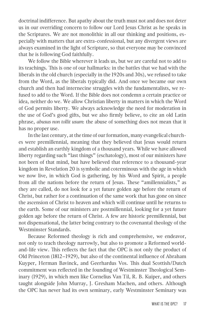doctrinal indifference. But apathy about the truth must not and does not deter us in our overriding concern to follow our Lord Jesus Christ as he speaks in the Scriptures. We are not monolithic in all our thinking and positions, especially with matters that are extra-confessional, but any divergent views are always examined in the light of Scripture, so that everyone may be convinced that he is following God faithfully.

We follow the Bible wherever it leads us, but we are careful not to add to its teachings. This is one of our hallmarks: in the battles that we had with the liberals in the old church (especially in the 1920s and 30s), we refused to take from the Word, as the liberals typically did. And once we became our own church and then had internecine struggles with the fundamentalists, we refused to add to the Word. If the Bible does not condemn a certain practice or idea, neither do we. We allow Christian liberty in matters in which the Word of God permits liberty. We always acknowledge the need for moderation in the use of God's good gifts, but we also firmly believe, to cite an old Latin phrase, *abusus non tollit usum*: the abuse of something does not mean that it has no proper use.

In the last century, at the time of our formation, many evangelical churches were premillennial, meaning that they believed that Jesus would return and establish an earthly kingdom of a thousand years. While we have allowed liberty regarding such "last things" (eschatology), most of our ministers have not been of that mind, but have believed that reference to a thousand-year kingdom in Revelation 20 is symbolic and coterminous with the age in which we now live, in which God is gathering, by his Word and Spirit, a people from all the nations before the return of Jesus. These "amillennialists," as they are called, do not look for a yet future golden age before the return of Christ, but rather for a continuation of the same work that has gone on since the ascension of Christ to heaven and which will continue until he returns to the earth. Some of our ministers are postmillennial, looking for a yet future golden age before the return of Christ. A few are historic premillennial, but not dispensational, the latter being contrary to the covenantal theology of the Westminster Standards.

Because Reformed theology is rich and comprehensive, we endeavor, not only to teach theology narrowly, but also to promote a Reformed worldand-life view. This reflects the fact that the OPC is not only the product of Old Princeton (1812–1929), but also of the continental influence of Abraham Kuyper, Herman Bavinck, and Geerhardus Vos. This dual Scottish/Dutch commitment was reflected in the founding of Westminster Theological Seminary (1929), in which men like Cornelius Van Til, R. B. Kuiper, and others taught alongside John Murray, J. Gresham Machen, and others. Although the OPC has never had its own seminary, early Westminster Seminary was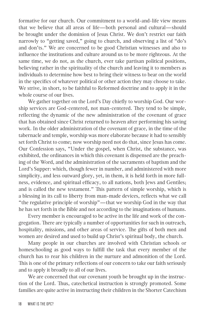formative for our church. Our commitment to a world-and-life view means that we believe that all areas of life—both personal and cultural—should be brought under the dominion of Jesus Christ. We don't restrict our faith narrowly to "getting saved," going to church, and observing a list of "do's and don'ts." We are concerned to be good Christian witnesses and also to influence the institutions and culture around us to be more righteous. At the same time, we do not, as the church, ever take partisan political positions, believing rather in the spirituality of the church and leaving it to members as individuals to determine how best to bring their witness to bear on the world in the specifics of whatever political or other action they may choose to take. We strive, in short, to be faithful to Reformed doctrine and to apply it in the whole course of our lives.

We gather together on the Lord's Day chiefly to worship God. Our worship services are God-centered, not man-centered. They tend to be simple, reflecting the dynamic of the new administration of the covenant of grace that has obtained since Christ returned to heaven after performing his saving work. In the older administration of the covenant of grace, in the time of the tabernacle and temple, worship was more elaborate because it had to sensibly set forth Christ to come; now worship need not do that, since Jesus has come. Our Confession says, "Under the gospel, when Christ, the substance, was exhibited, the ordinances in which this covenant is dispensed are the preaching of the Word, and the administration of the sacraments of baptism and the Lord's Supper: which, though fewer in number, and administered with more simplicity, and less outward glory, yet, in them, it is held forth in more fullness, evidence, and spiritual efficacy, to all nations, both Jews and Gentiles; and is called the new testament." This pattern of simple worship, which is a blessing in its call to liberty from man-made devices, reflects what we call "the regulative principle of worship"—that we worship God in the way that he has set forth in the Bible and not according to the imaginations of humans.

Every member is encouraged to be active in the life and work of the congregation. There are typically a number of opportunities for such in outreach, hospitality, missions, and other areas of service. The gifts of both men and women are desired and used to build up Christ's spiritual body, the church.

Many people in our churches are involved with Christian schools or homeschooling as good ways to fulfill the task that every member of the church has to rear his children in the nurture and admonition of the Lord. This is one of the primary reflections of our concern to take our faith seriously and to apply it broadly to all of our lives.

We are concerned that our covenant youth be brought up in the instruction of the Lord. Thus, catechetical instruction is strongly promoted. Some families are quite active in instructing their children in the Shorter Catechism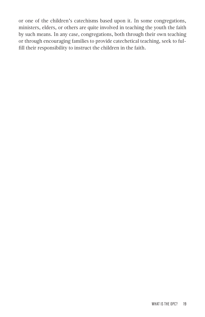or one of the children's catechisms based upon it. In some congregations, ministers, elders, or others are quite involved in teaching the youth the faith by such means. In any case, congregations, both through their own teaching or through encouraging families to provide catechetical teaching, seek to fulfill their responsibility to instruct the children in the faith.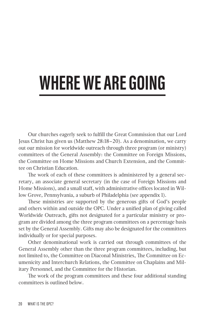### **WHERE WE ARE GOING**

Our churches eagerly seek to fulfill the Great Commission that our Lord Jesus Christ has given us (Matthew 28:18–20). As a denomination, we carry out our mission for worldwide outreach through three program (or ministry) committees of the General Assembly: the Committee on Foreign Missions, the Committee on Home Missions and Church Extension, and the Committee on Christian Education.

The work of each of these committees is administered by a general secretary, an associate general secretary (in the case of Foreign Missions and Home Missions), and a small staff, with administrative offices located in Willow Grove, Pennsylvania, a suburb of Philadelphia (see appendix 1).

These ministries are supported by the generous gifts of God's people and others within and outside the OPC. Under a unified plan of giving called Worldwide Outreach, gifts not designated for a particular ministry or program are divided among the three program committees on a percentage basis set by the General Assembly. Gifts may also be designated for the committees individually or for special purposes.

Other denominational work is carried out through committees of the General Assembly other than the three program committees, including, but not limited to, the Committee on Diaconal Ministries, The Committee on Ecumenicity and Interchurch Relations, the Committee on Chaplains and Military Personnel, and the Committee for the Historian.

The work of the program committees and these four additional standing committees is outlined below.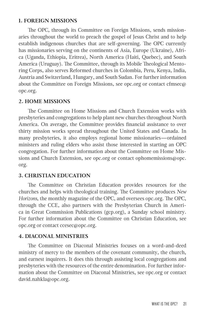#### **1. FOREIGN MISSIONS**

The OPC, through its Committee on Foreign Missions, sends missionaries throughout the world to preach the gospel of Jesus Christ and to help establish indigenous churches that are self-governing. The OPC currently has missionaries serving on the continents of Asia, Europe (Ukraine), Africa (Uganda, Ethiopia, Eritrea), North America (Haiti, Quebec), and South America (Uruguay). The Committee, through its Mobile Theological Mentoring Corps, also serves Reformed churches in Colombia, Peru, Kenya, India, Austria and Switzerland, Hungary, and South Sudan. For further information about the Committee on Foreign Missions, see opc.org or contact cfmsec@ opc.org.

#### **2. HOME MISSIONS**

The Committee on Home Missions and Church Extension works with presbyteries and congregations to help plant new churches throughout North America. On average, the Committee provides financial assistance to over thirty mission works spread throughout the United States and Canada. In many presbyteries, it also employs regional home missionaries—ordained ministers and ruling elders who assist those interested in starting an OPC congregation. For further information about the Committee on Home Missions and Church Extension, see opc.org or contact ophomemissions@opc. org.

#### **3. CHRISTIAN EDUCATION**

The Committee on Christian Education provides resources for the churches and helps with theological training. The Committee produces *New Horizons*, the monthly magazine of the OPC, and oversees opc.org. The OPC, through the CCE, also partners with the Presbyterian Church in America in Great Commission Publications (gcp.org), a Sunday school ministry. For further information about the Committee on Christian Education, see opc.org or contact ccesec@opc.org.

#### **4. DIACONAL MINISTRIES**

The Committee on Diaconal Ministries focuses on a word-and-deed ministry of mercy to the members of the covenant community, the church, and earnest inquirers. It does this through assisting local congregations and presbyteries with the resources of the entire denomination. For further information about the Committee on Diaconal Ministries, see opc.org or contact david.nahkla@opc.org.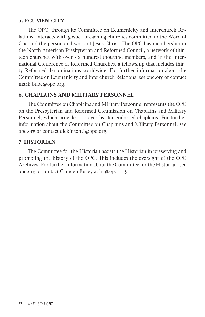#### **5. ECUMENICITY**

The OPC, through its Committee on Ecumenicity and Interchurch Relations, interacts with gospel-preaching churches committed to the Word of God and the person and work of Jesus Christ. The OPC has membership in the North American Presbyterian and Reformed Council, a network of thirteen churches with over six hundred thousand members, and in the International Conference of Reformed Churches, a fellowship that includes thirty Reformed denominations worldwide. For further information about the Committee on Ecumenicity and Interchurch Relations, see opc.org or contact mark.bube@opc.org.

#### **6. CHAPLAINS AND MILITARY PERSONNEL**

The Committee on Chaplains and Military Personnel represents the OPC on the Presbyterian and Reformed Commission on Chaplains and Military Personnel, which provides a prayer list for endorsed chaplains. For further information about the Committee on Chaplains and Military Personnel, see opc.org or contact dickinson.1@opc.org.

#### **7. HISTORIAN**

The Committee for the Historian assists the Historian in preserving and promoting the history of the OPC. This includes the oversight of the OPC Archives. For further information about the Committee for the Historian, see opc.org or contact Camden Bucey at hc@opc.org.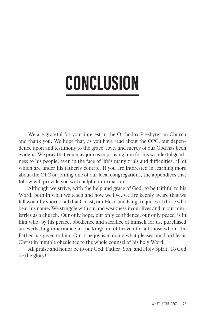### **CONCLUSION**

We are grateful for your interest in the Orthodox Presbyterian Church and thank you. We hope that, as you have read about the OPC, our dependence upon and testimony to the grace, love, and mercy of our God has been evident. We pray that you may join us in praising him for his wonderful goodness to his people, even in the face of life's many trials and difficulties, all of which are under his fatherly control. If you are interested in learning more about the OPC or joining one of our local congregations, the appendices that follow will provide you with helpful information.

Although we strive, with the help and grace of God, to be faithful to his Word, both in what we teach and how we live, we are keenly aware that we fall woefully short of all that Christ, our Head and King, requires of those who bear his name. We struggle with sin and weakness in our lives and in our ministries as a church. Our only hope, our only confidence, our only peace, is in him who, by his perfect obedience and sacrifice of himself for us, purchased an everlasting inheritance in the kingdom of heaven for all those whom the Father has given to him. Our true joy is in doing what pleases our Lord Jesus Christ in humble obedience to the whole counsel of his holy Word.

All praise and honor be to our God: Father, Son, and Holy Spirit. To God be the glory!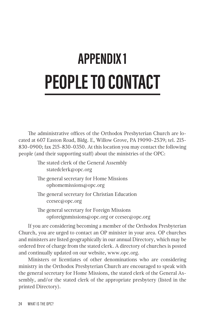### **APPENDIX 1 PEOPLE TO CONTACT**

The administrative offices of the Orthodox Presbyterian Church are located at 607 Easton Road, Bldg. E, Willow Grove, PA 19090-2539; tel. 215- 830-0900; fax 215-830-0350. At this location you may contact the following people (and their supporting staff) about the ministries of the OPC:

| The stated clerk of the General Assembly |
|------------------------------------------|
| statedclerk@opc.org                      |
| The general secretary for Home Missions  |

ophomemissions@opc.org The general secretary for Christian Education

ccesec@opc.org

The general secretary for Foreign Missions opforeignmissions@opc.org or ccesec@opc.org

If you are considering becoming a member of the Orthodox Presbyterian Church, you are urged to contact an OP minister in your area. OP churches and ministers are listed geographically in our annual Directory, which may be ordered free of charge from the stated clerk. A directory of churches is posted and continually updated on our website, www.opc.org.

Ministers or licentiates of other denominations who are considering ministry in the Orthodox Presbyterian Church are encouraged to speak with the general secretary for Home Missions, the stated clerk of the General Assembly, and/or the stated clerk of the appropriate presbytery (listed in the printed Directory).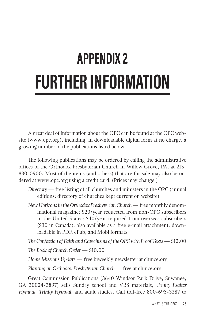### **APPENDIX 2 FURTHER INFORMATION**

A great deal of information about the OPC can be found at the OPC website (www.opc.org), including, in downloadable digital form at no charge, a growing number of the publications listed below.

The following publications may be ordered by calling the administrative offices of the Orthodox Presbyterian Church in Willow Grove, PA, at 215- 830-0900. Most of the items (and others) that are for sale may also be ordered at www.opc.org using a credit card. (Prices may change.)

- *Directory* free listing of all churches and ministers in the OPC (annual editions; directory of churches kept current on website)
- *New Horizons in the Orthodox Presbyterian Church* free monthly denominational magazine; \$20/year requested from non-OPC subscribers in the United States; \$40/year required from overseas subscribers (\$30 in Canada); also available as a free e-mail attachment; downloadable in PDF, ePub, and Mobi formats

*The Confession of Faith and Catechisms of the OPC with Proof Texts* — \$12.00

*The Book of Church Order* — \$10.00

*Home Missions Update* — free biweekly newsletter at chmce.org

*Planting an Orthodox Presbyterian Church* — free at chmce.org

Great Commission Publications (3640 Windsor Park Drive, Suwanee, GA 30024-3897) sells Sunday school and VBS materials, *Trinity Psalter Hymnal*, *Trinity Hymnal*, and adult studies. Call toll-free 800-695-3387 to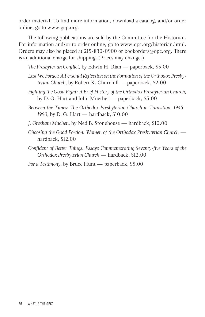order material. To find more information, download a catalog, and/or order online, go to www.gcp.org.

The following publications are sold by the Committee for the Historian. For information and/or to order online, go to www.opc.org/historian.html. Orders may also be placed at 215-830-0900 or bookorders@opc.org. There is an additional charge for shipping. (Prices may change.)

*The Presbyterian Conflict*, by Edwin H. Rian — paperback, \$5.00

- *Lest We Forget: A Personal Reflection on the Formation of the Orthodox Presbyterian Church*, by Robert K. Churchill — paperback, \$2.00
- *Fighting the Good Fight: A Brief History of the Orthodox Presbyterian Church*, by D. G. Hart and John Muether — paperback, \$5.00
- *Between the Times: The Orthodox Presbyterian Church in Transition, 1945– 1990*, by D. G. Hart — hardback, \$10.00
- *J. Gresham Machen*, by Ned B. Stonehouse hardback, \$10.00
- *Choosing the Good Portion: Women of the Orthodox Presbyterian Church* hardback, \$12.00
- *Confident of Better Things: Essays Commemorating Seventy-five Years of the Orthodox Presbyterian Church* — hardback, \$12.00

*For a Testimony*, by Bruce Hunt — paperback, \$5.00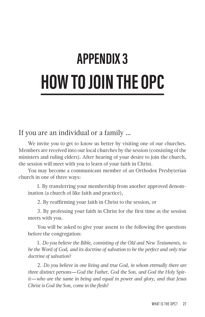### **APPENDIX 3 HOW TO JOIN THE OPC**

#### If you are an individual or a family …

We invite you to get to know us better by visiting one of our churches. Members are received into our local churches by the session (consisting of the ministers and ruling elders). After hearing of your desire to join the church, the session will meet with you to learn of your faith in Christ.

You may become a communicant member of an Orthodox Presbyterian church in one of three ways:

1. By transferring your membership from another approved denomination (a church of like faith and practice),

2. By reaffirming your faith in Christ to the session, or

3. By professing your faith in Christ for the first time as the session meets with you.

You will be asked to give your assent to the following five questions before the congregation:

1. *Do you believe the Bible, consisting of the Old and New Testaments, to be the Word of God, and its doctrine of salvation to be the perfect and only true doctrine of salvation?*

2. *Do you believe in one living and true God, in whom eternally there are three distinct persons—God the Father, God the Son, and God the Holy Spirit—who are the same in being and equal in power and glory, and that Jesus Christ is God the Son, come in the flesh?*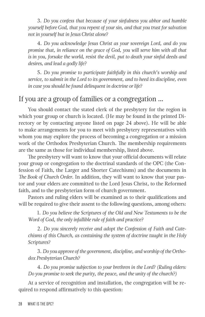3. *Do you confess that because of your sinfulness you abhor and humble yourself before God, that you repent of your sin, and that you trust for salvation not in yourself but in Jesus Christ alone?*

4. *Do you acknowledge Jesus Christ as your sovereign Lord, and do you promise that, in reliance on the grace of God, you will serve him with all that is in you, forsake the world, resist the devil, put to death your sinful deeds and desires, and lead a godly life?*

5. *Do you promise to participate faithfully in this church's worship and service, to submit in the Lord to its government, and to heed its discipline, even in case you should be found delinquent in doctrine or life?*

#### If you are a group of families or a congregation …

You should contact the stated clerk of the presbytery for the region in which your group or church is located. (He may be found in the printed Directory or by contacting anyone listed on page 24 above). He will be able to make arrangements for you to meet with presbytery representatives with whom you may explore the process of becoming a congregation or a mission work of the Orthodox Presbyterian Church. The membership requirements are the same as those for individual membership, listed above.

The presbytery will want to know that your official documents will relate your group or congregation to the doctrinal standards of the OPC (the Confession of Faith, the Larger and Shorter Catechisms) and the documents in *The Book of Church Order*. In addition, they will want to know that your pastor and your elders are committed to the Lord Jesus Christ, to the Reformed faith, and to the presbyterian form of church government.

Pastors and ruling elders will be examined as to their qualifications and will be required to give their assent to the following questions, among others:

1. *Do you believe the Scriptures of the Old and New Testaments to be the Word of God, the only infallible rule of faith and practice?*

2. *Do you sincerely receive and adopt the Confession of Faith and Catechisms of this Church, as containing the system of doctrine taught in the Holy Scriptures?*

3. *Do you approve of the government, discipline, and worship of the Orthodox Presbyterian Church?*

4. *Do you promise subjection to your brethren in the Lord? (Ruling elders: Do you promise to seek the purity, the peace, and the unity of the church?)*

At a service of recognition and installation, the congregation will be required to respond affirmatively to this question: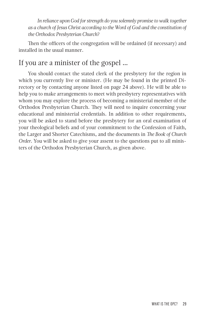*In reliance upon God for strength do you solemnly promise to walk together as a church of Jesus Christ according to the Word of God and the constitution of the Orthodox Presbyterian Church?*

Then the officers of the congregation will be ordained (if necessary) and installed in the usual manner.

#### If you are a minister of the gospel …

You should contact the stated clerk of the presbytery for the region in which you currently live or minister. (He may be found in the printed Directory or by contacting anyone listed on page 24 above). He will be able to help you to make arrangements to meet with presbytery representatives with whom you may explore the process of becoming a ministerial member of the Orthodox Presbyterian Church. They will need to inquire concerning your educational and ministerial credentials. In addition to other requirements, you will be asked to stand before the presbytery for an oral examination of your theological beliefs and of your commitment to the Confession of Faith, the Larger and Shorter Catechisms, and the documents in *The Book of Church Order*. You will be asked to give your assent to the questions put to all ministers of the Orthodox Presbyterian Church, as given above.